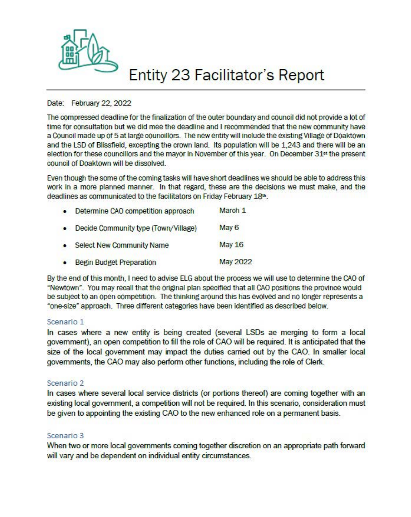

## **Entity 23 Facilitator's Report**

#### Date: February 22, 2022

The compressed deadline for the finalization of the outer boundary and council did not provide a lot of time for consultation but we did mee the deadline and I recommended that the new community have a Council made up of 5 at large councillors. The new entity will include the existing Village of Doaktown and the LSD of Blissfield, excepting the crown land. Its population will be 1,243 and there will be an election *tor* these councillors and the mayor in November of this year. On December 31" the present council of Doaktown will be dissolved.

Even though the some of the coming tasks will have short deadlines we should be able to address this work in a more planned manner. In that regard, these are the decisions we must make, and the deadlines as communicated to the facilitators on Friday February 18th.

| $\bullet$ | Determine CAO competition approach   | March 1  |
|-----------|--------------------------------------|----------|
| $\bullet$ | Decide Community type (Town/Village) | May 6    |
| ٠         | <b>Select New Community Name</b>     | May 16   |
| ٠         | Begin Budget Preparation             | May 2022 |

By the end of this month, I need to advise ELG about the process we will use to determine the CAO Of "Newtown•. You may recall that the Original plan specified that all CAO pasitions the province would be subject to an open competition. The thinking around this has evolved and no longer represents a •one-size• approach. Three different categories have been identified as described below.

#### Scenario 1

In cases where a new entity is being created (several LSDs ae merging to form a local government), an open competition to fill the role of CAO will be required. It is anticipated that the size of the local government may impact the duties carried out by the CAO. In smaller local governments, the CAO may also perform other functions, including the role of Clerk.

#### Scenario 2

In cases where several local service districts (or portions thereof) are coming together with an existing local government, a competition will not be required. In this scenario, consideration must be given to appointing the existing CAO to the new enhanced role on a permanent basis.

### Scenario 3

When two or more local governments coming together discretion on an appropriate path forward will vary and be dependent on individual entity circumstances.